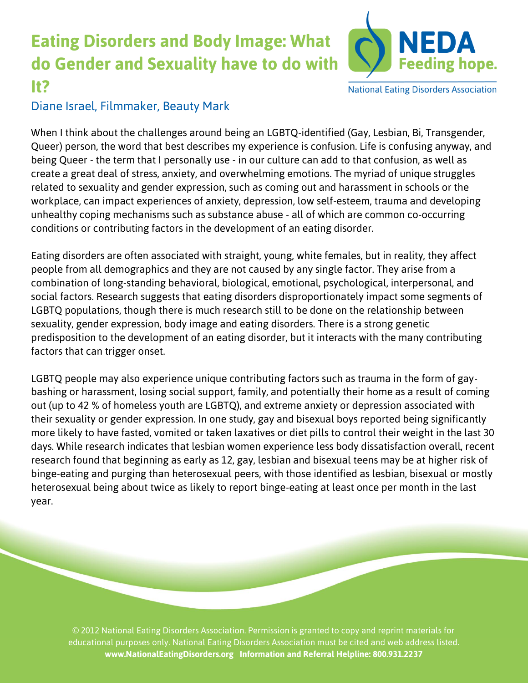## **Eating Disorders and Body Image: What do Gender and Sexuality have to do with It?**



**National Eating Disorders Association** 

## Diane Israel, Filmmaker, *Beauty Mark*

When I think about the challenges around being an LGBTQ-identified (Gay, Lesbian, Bi, Transgender, Queer) person, the word that best describes my experience is confusion. Life is confusing anyway, and being Queer - the term that I personally use - in our culture can add to that confusion, as well as create a great deal of stress, anxiety, and overwhelming emotions. The myriad of unique struggles related to sexuality and gender expression, such as coming out and harassment in schools or the workplace, can impact experiences of anxiety, depression, low self-esteem, trauma and developing unhealthy coping mechanisms such as substance abuse - all of which are common co-occurring conditions or contributing factors in the development of an eating disorder.

Eating disorders are often associated with straight, young, white females, but in reality, they affect people from all demographics and they are not caused by any single factor. They arise from a combination of long-standing behavioral, biological, emotional, psychological, interpersonal, and social factors. Research suggests that eating disorders disproportionately impact some segments of LGBTQ populations, though there is much research still to be done on the relationship between sexuality, gender expression, body image and eating disorders. There is a strong genetic predisposition to the development of an eating disorder, but it interacts with the many contributing factors that can trigger onset.

LGBTQ people may also experience unique contributing factors such as trauma in the form of gaybashing or harassment, losing social support, family, and potentially their home as a result of coming out (up to 42 % of homeless youth are LGBTQ), and extreme anxiety or depression associated with their sexuality or gender expression. In one study, gay and bisexual boys reported being significantly more likely to have fasted, vomited or taken laxatives or diet pills to control their weight in the last 30 days. While research indicates that lesbian women experience less body dissatisfaction overall, recent research found that beginning as early as 12, gay, lesbian and bisexual teens may be at higher risk of binge-eating and purging than heterosexual peers, with those identified as lesbian, bisexual or mostly heterosexual being about twice as likely to report binge-eating at least once per month in the last year.

© 2012 National Eating Disorders Association. Permission is granted to copy and reprint materials for educational purposes only. National Eating Disorders Association must be cited and web address listed. **www.NationalEatingDisorders.org Information and Referral Helpline: 800.931.2237**